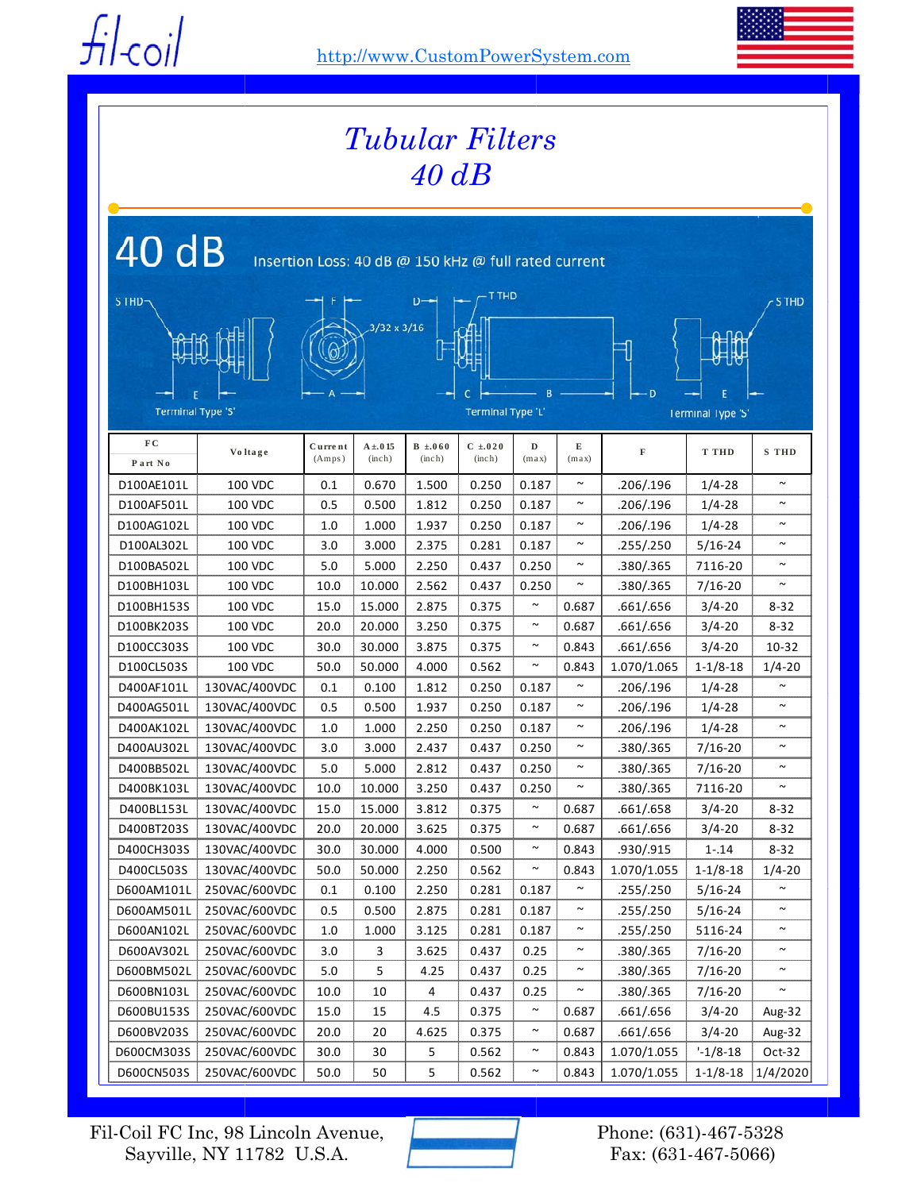$f$ *i* $|f|$ -coil



| <b>Tubular Filters</b><br>$40$ dB                             |                |                    |                               |                       |                       |            |            |                               |                |              |  |
|---------------------------------------------------------------|----------------|--------------------|-------------------------------|-----------------------|-----------------------|------------|------------|-------------------------------|----------------|--------------|--|
| 40 dB<br>Insertion Loss: 40 dB @ 150 kHz @ full rated current |                |                    |                               |                       |                       |            |            |                               |                |              |  |
| S THD                                                         |                |                    | $3/32 \times 3/16$            |                       | T THD                 |            |            |                               |                | <b>STHD</b>  |  |
| <b>Terminal Type 'S'</b>                                      |                |                    | B<br><b>Terminal Type 'L'</b> |                       |                       |            |            | D<br><b>Terminal Type 'S'</b> |                |              |  |
| FC<br>Part No                                                 | Voltage        | Curre nt<br>(Amps) | $A \pm 0.15$<br>(inch)        | $B \pm 060$<br>(inch) | $C \pm 020$<br>(inch) | D<br>(max) | Е<br>(max) | $\mathbf F$                   | <b>T THD</b>   | <b>S</b> THD |  |
| D100AE101L                                                    | <b>100 VDC</b> | 0.1                | 0.670                         | 1.500                 | 0.250                 | 0.187      | $\sim$     | .206/.196                     | $1/4 - 28$     | $\sim$       |  |
| D100AF501L                                                    | <b>100 VDC</b> | 0.5                | 0.500                         | 1.812                 | 0.250                 | 0.187      | $\sim$     | .206/.196                     | $1/4 - 28$     | $\sim$       |  |
| D100AG102L                                                    | <b>100 VDC</b> | 1.0                | 1.000                         | 1.937                 | 0.250                 | 0.187      | $\sim$     | .206/.196                     | $1/4 - 28$     | $\sim$       |  |
| D100AL302L                                                    | <b>100 VDC</b> | 3.0                | 3.000                         | 2.375                 | 0.281                 | 0.187      | $\sim$     | .255/.250                     | $5/16 - 24$    | $\sim$       |  |
| D100BA502L                                                    | <b>100 VDC</b> | 5.0                | 5.000                         | 2.250                 | 0.437                 | 0.250      | $\sim$     | .380/.365                     | 7116-20        | $\sim$       |  |
| D100BH103L                                                    | <b>100 VDC</b> | 10.0               | 10.000                        | 2.562                 | 0.437                 | 0.250      |            | .380/.365                     | $7/16 - 20$    |              |  |
| D100BH153S                                                    | <b>100 VDC</b> | 15.0               | 15.000                        | 2.875                 | 0.375                 | $\sim$     | 0.687      | .661/.656                     | $3/4 - 20$     | 8-32         |  |
| D100BK203S                                                    | <b>100 VDC</b> | 20.0               | 20.000                        | 3.250                 | 0.375                 | $\sim$     | 0.687      | .661/.656                     | $3/4 - 20$     | $8 - 32$     |  |
| D100CC303S                                                    | <b>100 VDC</b> | 30.0               | 30.000                        | 3.875                 | 0.375                 | $\sim$     | 0.843      | .661/.656                     | $3/4 - 20$     | $10 - 32$    |  |
| D100CL503S                                                    | <b>100 VDC</b> | 50.0               | 50.000                        | 4.000                 | 0.562                 | $\sim$     | 0.843      | 1.070/1.065                   | $1 - 1/8 - 18$ | $1/4 - 20$   |  |
| D400AF101L                                                    | 130VAC/400VDC  | 0.1                | 0.100                         | 1.812                 | 0.250                 | 0.187      |            | .206/.196                     | $1/4 - 28$     |              |  |
| D400AG501L                                                    | 130VAC/400VDC  | 0.5                | 0.500                         | 1.937                 | 0.250                 | 0.187      | $\sim$     | .206/.196                     | $1/4 - 28$     | $\sim$       |  |
| D400AK102L                                                    | 130VAC/400VDC  | 1.0                | 1.000                         | 2.250                 | 0.250                 | 0.187      | $\sim$     | .206/.196                     | $1/4 - 28$     | $\sim$       |  |
| D400AU302L                                                    | 130VAC/400VDC  | 3.0                | 3.000                         | 2.437                 | 0.437                 | 0.250      | $\sim$     | .380/.365                     | $7/16 - 20$    | $\sim$       |  |
| D400BB502L                                                    | 130VAC/400VDC  | 5.0                | 5.000                         | 2.812                 | 0.437                 | 0.250      | $\sim$     | .380/.365                     | $7/16 - 20$    | $\sim$       |  |
| D400BK103L                                                    | 130VAC/400VDC  | 10.0               | 10.000                        | 3.250                 | 0.437                 | 0.250      | $\sim$     | .380/.365                     | 7116-20        | $\sim$       |  |
| D400BL153L                                                    | 130VAC/400VDC  | 15.0               | 15.000                        | 3.812                 | 0.375                 | $\sim$     | 0.687      | .661/.658                     | $3/4 - 20$     | $8 - 32$     |  |
| D400BT203S                                                    | 130VAC/400VDC  | 20.0               | 20.000                        | 3.625                 | 0.375                 | $\sim$     | 0.687      | .661/.656                     | $3/4 - 20$     | $8 - 32$     |  |
| D400CH303S                                                    | 130VAC/400VDC  | 30.0               | 30.000                        | 4.000                 | 0.500                 | $\sim$     | 0.843      | .930/.915                     | $1 - .14$      | $8 - 32$     |  |
| D400CL503S                                                    | 130VAC/400VDC  | 50.0               | 50.000                        | 2.250                 | 0.562                 | $\sim$     | 0.843      | 1.070/1.055                   | $1 - 1/8 - 18$ | $1/4 - 20$   |  |
| D600AM101L                                                    | 250VAC/600VDC  | 0.1                | 0.100                         | 2.250                 | 0.281                 | 0.187      | $\sim$     | .255/.250                     | $5/16 - 24$    | $\sim$       |  |
| D600AM501L                                                    | 250VAC/600VDC  | 0.5                | 0.500                         | 2.875                 | 0.281                 | 0.187      |            | .255/.250                     | $5/16 - 24$    | $\sim$       |  |
| D600AN102L                                                    | 250VAC/600VDC  | 1.0                | 1.000                         | 3.125                 | 0.281                 | 0.187      | $\sim$     | .255/.250                     | 5116-24        | $\sim$       |  |
| D600AV302L                                                    | 250VAC/600VDC  | 3.0                | 3                             | 3.625                 | 0.437                 | 0.25       | $\sim$     | .380/.365                     | $7/16 - 20$    | $\sim$       |  |
| D600BM502L                                                    | 250VAC/600VDC  | 5.0                | 5                             | 4.25                  | 0.437                 | 0.25       | $\sim$     | .380/.365                     | $7/16 - 20$    | $\sim$       |  |
| D600BN103L                                                    | 250VAC/600VDC  | 10.0               | 10                            | 4                     | 0.437                 | 0.25       |            | .380/.365                     | $7/16 - 20$    |              |  |
| D600BU153S                                                    | 250VAC/600VDC  | 15.0               | 15                            | 4.5                   | 0.375                 | $\sim$     | 0.687      | .661/.656                     | $3/4 - 20$     | Aug-32       |  |
| D600BV203S                                                    | 250VAC/600VDC  | 20.0               | 20                            | 4.625                 | 0.375                 | $\sim$     | 0.687      | .661/.656                     | $3/4 - 20$     | Aug-32       |  |
| D600CM303S                                                    | 250VAC/600VDC  | 30.0               | 30                            | 5                     | 0.562                 | $\sim$     | 0.843      | 1.070/1.055                   | $-1/8-18$      | $Oct-32$     |  |
| D600CN503S                                                    | 250VAC/600VDC  | 50.0               | 50                            | 5                     | 0.562                 | $\sim$     | 0.843      | 1.070/1.055                   | $1 - 1/8 - 18$ | 1/4/2020     |  |

Fil-Coil FC Inc, 98 Lincoln Avenue, Sayville, NY 11782 U.S.A.

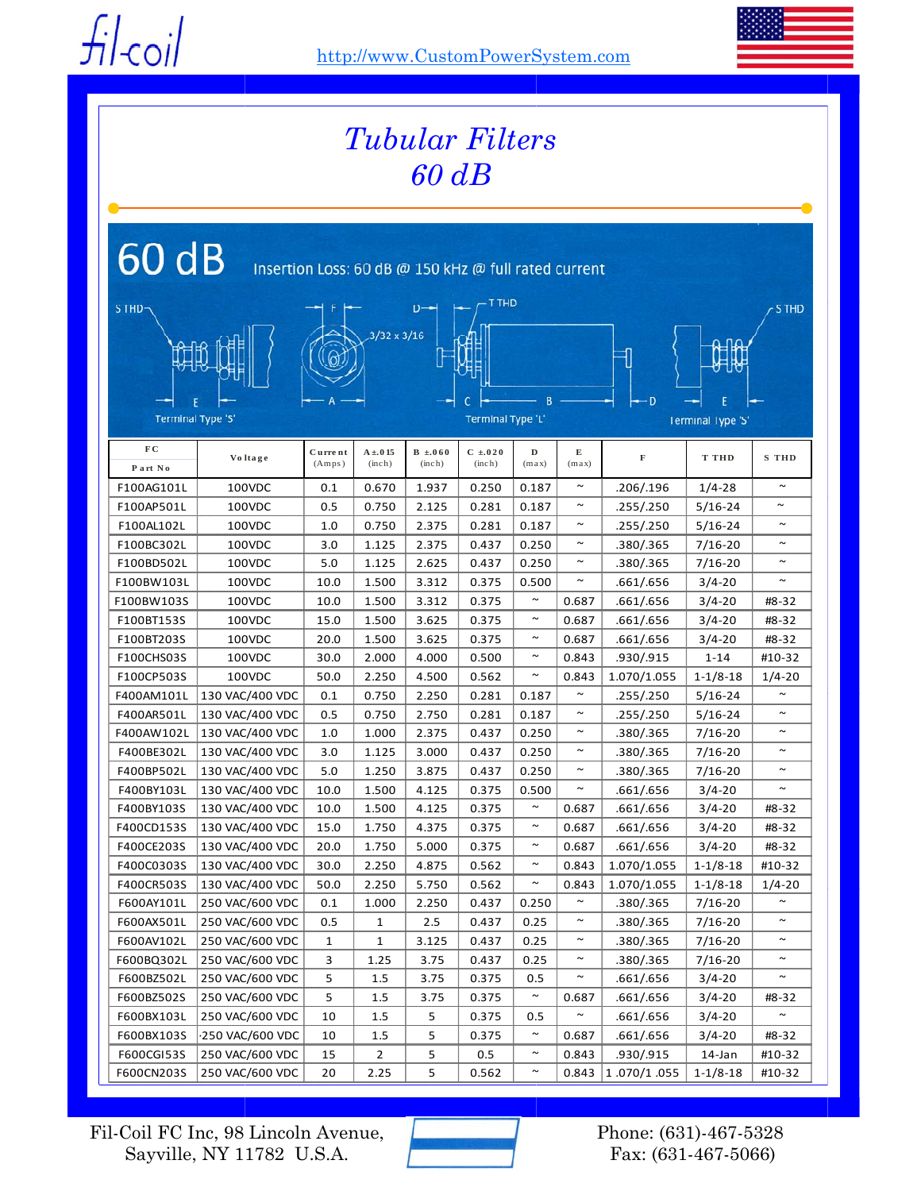$f$ *i* $|f|$ -coil



| Tubular Filters<br>$60$ $dB$                                  |                 |                    |                        |                       |                          |            |                       |             |                          |                       |  |
|---------------------------------------------------------------|-----------------|--------------------|------------------------|-----------------------|--------------------------|------------|-----------------------|-------------|--------------------------|-----------------------|--|
| 60 dB<br>Insertion Loss: 60 dB @ 150 kHz @ full rated current |                 |                    |                        |                       |                          |            |                       |             |                          |                       |  |
| т тно<br>S THD-<br>$3/32 \times 3/16$                         |                 |                    |                        |                       |                          |            |                       |             |                          |                       |  |
|                                                               |                 |                    |                        |                       |                          |            |                       | Ð           |                          |                       |  |
| <b>Terminal Type 'S'</b>                                      |                 |                    |                        |                       | <b>Terminal Type 'L'</b> |            |                       |             | <b>Terminal Type 'S'</b> |                       |  |
| F C<br>Part No                                                | Voltage         | Curre nt<br>(Amps) | $A \pm 0.15$<br>(inch) | $B \pm 060$<br>(inch) | $C \pm 020$<br>(inch)    | D<br>(max) | Е<br>(max)            | $\mathbf F$ | <b>T THD</b>             | <b>S</b> THD          |  |
| F100AG101L                                                    | 100VDC          | 0.1                | 0.670                  | 1.937                 | 0.250                    | 0.187      | $\sim$                | .206/.196   | $1/4 - 28$               | $\sim$                |  |
| F100AP501L                                                    | 100VDC          | 0.5                | 0.750                  | 2.125                 | 0.281                    | 0.187      | $\sim$                | .255/.250   | $5/16 - 24$              | $\tilde{\phantom{a}}$ |  |
| F100AL102L                                                    | 100VDC          | 1.0                | 0.750                  | 2.375                 | 0.281                    | 0.187      | $\sim$                | .255/.250   | $5/16 - 24$              | $\sim$                |  |
| F100BC302L                                                    | 100VDC          | 3.0                | 1.125                  | 2.375                 | 0.437                    | 0.250      | $\sim$                | .380/.365   | $7/16 - 20$              | $\sim$                |  |
| F100BD502L                                                    | 100VDC          | 5.0                | 1.125                  | 2.625                 | 0.437                    | 0.250      | $\sim$                | .380/.365   | $7/16 - 20$              | $\sim$                |  |
| F100BW103L                                                    | 100VDC          | 10.0               | 1.500                  | 3.312                 | 0.375                    | 0.500      | $\tilde{\phantom{a}}$ | .661/.656   | $3/4 - 20$               | $\sim$                |  |
| F100BW103S                                                    | 100VDC          | 10.0               | 1.500                  | 3.312                 | 0.375                    | $\sim$     | 0.687                 | .661/.656   | $3/4 - 20$               | #8-32                 |  |
| F100BT153S                                                    | 100VDC          | 15.0               | 1.500                  | 3.625                 | 0.375                    | $\sim$     | 0.687                 | .661/.656   | $3/4 - 20$               | #8-32                 |  |
| F100BT203S                                                    | 100VDC          | 20.0               | 1.500                  | 3.625                 | 0.375                    | $\sim$     | 0.687                 | .661/.656   | $3/4 - 20$               | #8-32                 |  |
| F100CHS03S                                                    | 100VDC          | 30.0               | 2.000                  | 4.000                 | 0.500                    | $\sim$     | 0.843                 | .930/.915   | $1 - 14$                 | #10-32                |  |
| F100CP503S                                                    | 100VDC          | 50.0               | 2.250                  | 4.500                 | 0.562                    | $\sim$     | 0.843                 | 1.070/1.055 | $1-1/8-18$               | $1/4 - 20$            |  |
| F400AM101L                                                    | 130 VAC/400 VDC | 0.1                | 0.750                  | 2.250                 | 0.281                    | 0.187      | $\sim$                | .255/.250   | $5/16 - 24$              |                       |  |
| F400AR501L                                                    | 130 VAC/400 VDC | 0.5                | 0.750                  | 2.750                 | 0.281                    | 0.187      | $\sim$                | .255/.250   | $5/16 - 24$              | $\sim$                |  |
| F400AW102L                                                    | 130 VAC/400 VDC | 1.0                | 1.000                  | 2.375                 | 0.437                    | 0.250      | $\sim$                | .380/.365   | $7/16 - 20$              | $\sim$                |  |
| F400BE302L                                                    | 130 VAC/400 VDC | 3.0                | 1.125                  | 3.000                 | 0.437                    | 0.250      | $\sim$                | .380/.365   | $7/16 - 20$              | $\sim$                |  |
| F400BP502L                                                    | 130 VAC/400 VDC | 5.0                | 1.250                  | 3.875                 | 0.437                    | 0.250      | $\tilde{}$            | .380/.365   | $7/16 - 20$              | $\sim$                |  |
| F400BY103L                                                    | 130 VAC/400 VDC | 10.0               | 1.500                  | 4.125                 | 0.375                    | 0.500      | $\sim$                | .661/.656   | $3/4 - 20$               | $\sim$                |  |
| F400BY103S                                                    | 130 VAC/400 VDC | 10.0               | 1.500                  | 4.125                 | 0.375                    | $\sim$     | 0.687                 | .661/.656   | $3/4 - 20$               | #8-32                 |  |
| F400CD153S                                                    | 130 VAC/400 VDC | 15.0               | 1.750                  | 4.375                 | 0.375                    | $\sim$     | 0.687                 | .661/.656   | $3/4 - 20$               | #8-32                 |  |
| F400CE203S                                                    | 130 VAC/400 VDC | 20.0               | 1.750                  | 5.000                 | 0.375                    | $\sim$     | 0.687                 | .661/.656   | $3/4 - 20$               | #8-32                 |  |
| F400C0303S                                                    | 130 VAC/400 VDC | 30.0               | 2.250                  | 4.875                 | 0.562                    | $\sim$     | 0.843                 | 1.070/1.055 | $1-1/8-18$               | #10-32                |  |
| F400CR503S                                                    | 130 VAC/400 VDC | 50.0               | 2.250                  | 5.750                 | 0.562                    | $\sim$     | 0.843                 | 1.070/1.055 | $1-1/8-18$               | $1/4 - 20$            |  |
| F600AY101L                                                    | 250 VAC/600 VDC | 0.1                | 1.000                  | 2.250                 | 0.437                    | 0.250      | $\sim$                | .380/.365   | $7/16 - 20$              |                       |  |
| F600AX501L                                                    | 250 VAC/600 VDC | 0.5                | $\mathbf{1}$           | 2.5                   | 0.437                    | 0.25       | $\sim$                | .380/.365   | $7/16 - 20$              | $\sim$                |  |
| F600AV102L                                                    | 250 VAC/600 VDC | $\mathbf{1}$       | $\mathbf{1}$           | 3.125                 | 0.437                    | 0.25       | $\sim$                | .380/.365   | $7/16 - 20$              | $\sim$                |  |
| F600BQ302L                                                    | 250 VAC/600 VDC | 3                  | 1.25                   | 3.75                  | 0.437                    | 0.25       | $\sim$                | .380/.365   | $7/16 - 20$              | $\sim$                |  |
| F600BZ502L                                                    | 250 VAC/600 VDC | 5                  | 1.5                    | 3.75                  | 0.375                    | 0.5        | $\sim$                | .661/.656   | $3/4 - 20$               | $\sim$                |  |
| F600BZ502S                                                    | 250 VAC/600 VDC | 5                  | 1.5                    | 3.75                  | 0.375                    | $\sim$     | 0.687                 | .661/.656   | $3/4 - 20$               | #8-32                 |  |
| F600BX103L                                                    | 250 VAC/600 VDC | 10                 | 1.5                    | 5                     | 0.375                    | 0.5        | $\sim$                | .661/.656   | $3/4 - 20$               | $\sim$                |  |
| F600BX103S                                                    | 250 VAC/600 VDC | 10                 | 1.5                    | 5                     | 0.375                    | $\sim$     | 0.687                 | .661/.656   | $3/4 - 20$               | #8-32                 |  |
| F600CGI53S                                                    | 250 VAC/600 VDC | 15                 | 2                      | 5                     | 0.5                      | $\sim$     | 0.843                 | .930/.915   | 14-Jan                   | #10-32                |  |
| F600CN203S                                                    | 250 VAC/600 VDC | 20                 | 2.25                   | 5                     | 0.562                    | $\sim$     | 0.843                 | 1.070/1.055 | $1-1/8-18$               | #10-32                |  |

Fil-Coil FC Inc, 98 Lincoln Avenue, Sayville, NY 11782 U.S.A.

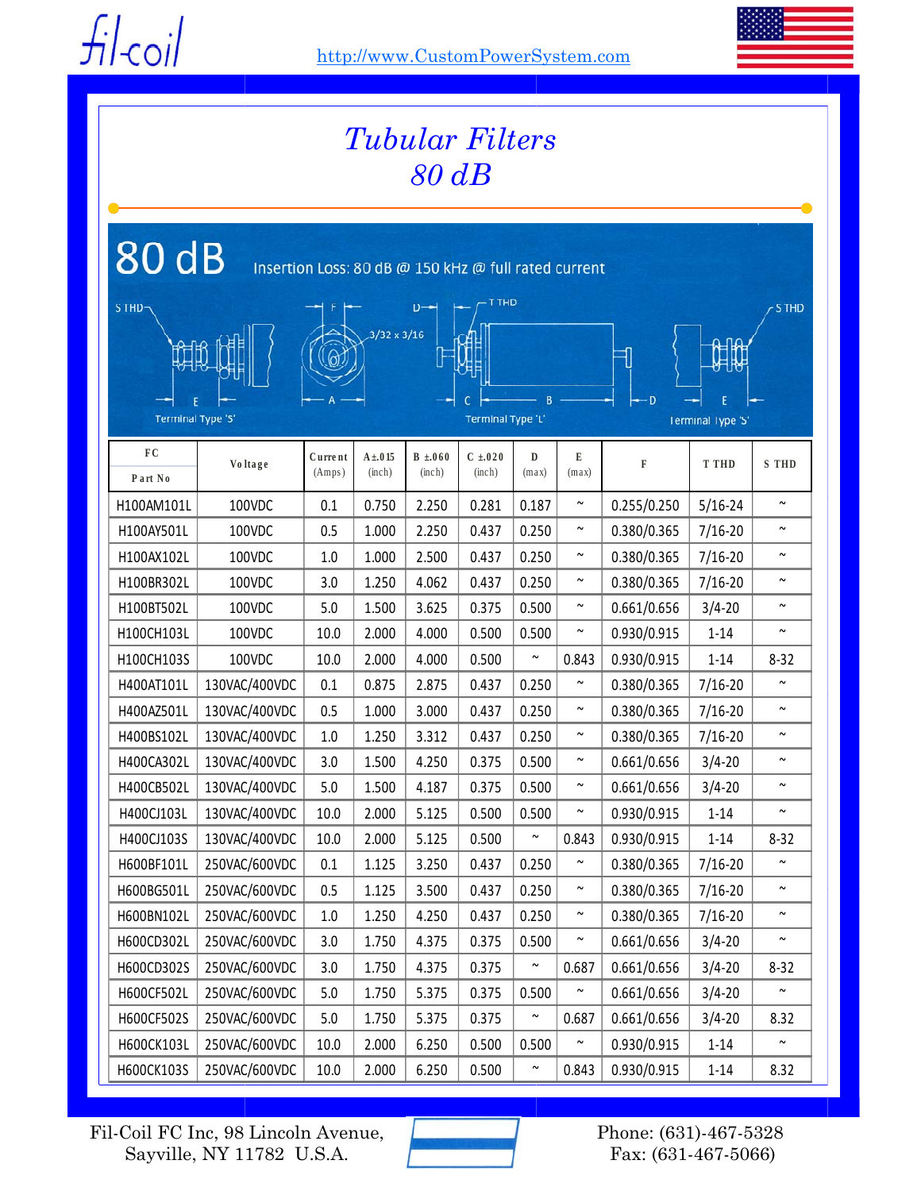$f$ *i* $|f|$ -coil

http://www.CustomPowerSystem.com



| <b>Tubular Filters</b><br>$80$ $dB$                           |                |                                     |                        |                       |                       |            |                       |             |                          |                       |
|---------------------------------------------------------------|----------------|-------------------------------------|------------------------|-----------------------|-----------------------|------------|-----------------------|-------------|--------------------------|-----------------------|
| 80 dB<br>Insertion Loss: 80 dB @ 150 kHz @ full rated current |                |                                     |                        |                       |                       |            |                       |             |                          |                       |
| T THD<br>S THD-<br>D-<br>$3/32 \times 3/16$                   |                |                                     |                        |                       |                       |            |                       |             |                          | <b>S THD</b>          |
| <b>Terminal Type 'S'</b>                                      |                | $\overline{R}$<br>Terminal Type 'L' |                        |                       |                       | Ð          |                       |             |                          |                       |
|                                                               |                |                                     |                        |                       |                       |            |                       |             | <b>Terminal Type 'S'</b> |                       |
| ${\bf F}$ C<br>Part No                                        | <b>Voltage</b> | Current<br>(Amps)                   | $A \pm 0.15$<br>(inch) | $B \pm 060$<br>(inch) | $C \pm 020$<br>(inch) | D<br>(max) | E<br>(max)            | F           | <b>T THD</b>             | <b>S</b> THD          |
| H100AM101L                                                    | 100VDC         | 0.1                                 | 0.750                  | 2.250                 | 0.281                 | 0.187      | $\sim$                | 0.255/0.250 | $5/16 - 24$              | $\sim$                |
| H100AY501L                                                    | 100VDC         | 0.5                                 | 1.000                  | 2.250                 | 0.437                 | 0.250      | $\sim$                | 0.380/0.365 | $7/16 - 20$              | $\sim$                |
| H100AX102L                                                    | 100VDC         | 1.0                                 | 1.000                  | 2.500                 | 0.437                 | 0.250      | $\sim$                | 0.380/0.365 | $7/16 - 20$              | $\sim$                |
| H100BR302L                                                    | 100VDC         | 3.0                                 | 1.250                  | 4.062                 | 0.437                 | 0.250      | $\sim$                | 0.380/0.365 | $7/16 - 20$              | $\sim$                |
| H100BT502L                                                    | 100VDC         | 5.0                                 | 1.500                  | 3.625                 | 0.375                 | 0.500      | $\sim$                | 0.661/0.656 | $3/4 - 20$               | $\sim$                |
| H100CH103L                                                    | 100VDC         | 10.0                                | 2.000                  | 4.000                 | 0.500                 | 0.500      | $\sim$                | 0.930/0.915 | $1 - 14$                 | $\tilde{\phantom{a}}$ |
| H100CH103S                                                    | 100VDC         | 10.0                                | 2.000                  | 4.000                 | 0.500                 | $\sim$     | 0.843                 | 0.930/0.915 | $1 - 14$                 | $8 - 32$              |
| H400AT101L                                                    | 130VAC/400VDC  | 0.1                                 | 0.875                  | 2.875                 | 0.437                 | 0.250      | $\sim$                | 0.380/0.365 | $7/16 - 20$              | $\tilde{\phantom{a}}$ |
| H400AZ501L                                                    | 130VAC/400VDC  | 0.5                                 | 1.000                  | 3.000                 | 0.437                 | 0.250      | $\sim$                | 0.380/0.365 | $7/16 - 20$              | $\sim$                |
| H400BS102L                                                    | 130VAC/400VDC  | 1.0                                 | 1.250                  | 3.312                 | 0.437                 | 0.250      | $\sim$                | 0.380/0.365 | $7/16 - 20$              | $\sim$                |
| H400CA302L                                                    | 130VAC/400VDC  | 3.0                                 | 1.500                  | 4.250                 | 0.375                 | 0.500      | $\sim$                | 0.661/0.656 | $3/4 - 20$               | $\sim$                |
| H400CB502L                                                    | 130VAC/400VDC  | 5.0                                 | 1.500                  | 4.187                 | 0.375                 | 0.500      | $\tilde{\phantom{a}}$ | 0.661/0.656 | $3/4 - 20$               | $\sim$                |
| H400CJ103L                                                    | 130VAC/400VDC  | 10.0                                | 2.000                  | 5.125                 | 0.500                 | 0.500      | $\sim$                | 0.930/0.915 | $1 - 14$                 | $\tilde{\phantom{a}}$ |
| H400CJ103S                                                    | 130VAC/400VDC  | 10.0                                | 2.000                  | 5.125                 | 0.500                 | $\sim$     | 0.843                 | 0.930/0.915 | $1 - 14$                 | $8 - 32$              |
| H600BF101L                                                    | 250VAC/600VDC  | 0.1                                 | 1.125                  | 3.250                 | 0.437                 | 0.250      | $\sim$                | 0.380/0.365 | $7/16 - 20$              | $\sim$                |
| H600BG501L                                                    | 250VAC/600VDC  | 0.5                                 | 1.125                  | 3.500                 | 0.437                 | 0.250      | $\sim$                | 0.380/0.365 | $7/16 - 20$              | $\sim$                |
| H600BN102L                                                    | 250VAC/600VDC  | $1.0\,$                             | 1.250                  | 4.250                 | 0.437                 | 0.250      | $\sim$                | 0.380/0.365 | $7/16 - 20$              | $\sim$                |
| H600CD302L                                                    | 250VAC/600VDC  | 3.0                                 | 1.750                  | 4.375                 | 0.375                 | 0.500      | $\sim$                | 0.661/0.656 | $3/4 - 20$               | $\sim$                |
| H600CD302S                                                    | 250VAC/600VDC  | 3.0                                 | 1.750                  | 4.375                 | 0.375                 | $\sim$     | 0.687                 | 0.661/0.656 | $3/4 - 20$               | $8 - 32$              |
| H600CF502L                                                    | 250VAC/600VDC  | 5.0                                 | 1.750                  | 5.375                 | 0.375                 | 0.500      | $\sim$                | 0.661/0.656 | $3/4 - 20$               | $\sim$                |
| H600CF502S                                                    | 250VAC/600VDC  | 5.0                                 | 1.750                  | 5.375                 | 0.375                 | $\sim$     | 0.687                 | 0.661/0.656 | $3/4 - 20$               | 8.32                  |
| H600CK103L                                                    | 250VAC/600VDC  | 10.0                                | 2.000                  | 6.250                 | 0.500                 | 0.500      | $\sim$                | 0.930/0.915 | $1 - 14$                 | $\sim$                |
| H600CK103S                                                    | 250VAC/600VDC  | 10.0                                | 2.000                  | 6.250                 | 0.500                 | $\sim$     | 0.843                 | 0.930/0.915 | $1 - 14$                 | 8.32                  |

Fil-Coil FC Inc, 98 Lincoln Avenue, Sayville, NY 11782 U.S.A.